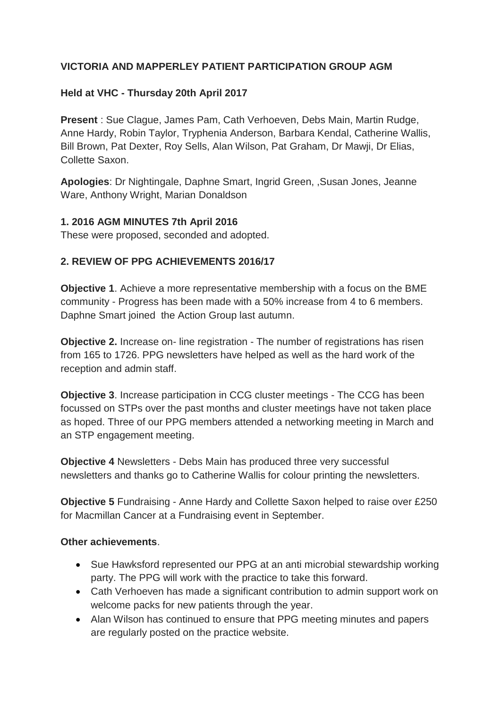# **VICTORIA AND MAPPERLEY PATIENT PARTICIPATION GROUP AGM**

## **Held at VHC - Thursday 20th April 2017**

**Present** : Sue Clague, James Pam, Cath Verhoeven, Debs Main, Martin Rudge, Anne Hardy, Robin Taylor, Tryphenia Anderson, Barbara Kendal, Catherine Wallis, Bill Brown, Pat Dexter, Roy Sells, Alan Wilson, Pat Graham, Dr Mawji, Dr Elias, Collette Saxon.

**Apologies**: Dr Nightingale, Daphne Smart, Ingrid Green, ,Susan Jones, Jeanne Ware, Anthony Wright, Marian Donaldson

### **1. 2016 AGM MINUTES 7th April 2016**

These were proposed, seconded and adopted.

### **2. REVIEW OF PPG ACHIEVEMENTS 2016/17**

**Objective 1**. Achieve a more representative membership with a focus on the BME community - Progress has been made with a 50% increase from 4 to 6 members. Daphne Smart joined the Action Group last autumn.

**Objective 2.** Increase on- line registration - The number of registrations has risen from 165 to 1726. PPG newsletters have helped as well as the hard work of the reception and admin staff.

**Objective 3**. Increase participation in CCG cluster meetings - The CCG has been focussed on STPs over the past months and cluster meetings have not taken place as hoped. Three of our PPG members attended a networking meeting in March and an STP engagement meeting.

**Objective 4** Newsletters - Debs Main has produced three very successful newsletters and thanks go to Catherine Wallis for colour printing the newsletters.

**Objective 5** Fundraising - Anne Hardy and Collette Saxon helped to raise over £250 for Macmillan Cancer at a Fundraising event in September.

### **Other achievements**.

- Sue Hawksford represented our PPG at an anti microbial stewardship working party. The PPG will work with the practice to take this forward.
- Cath Verhoeven has made a significant contribution to admin support work on welcome packs for new patients through the year.
- Alan Wilson has continued to ensure that PPG meeting minutes and papers are regularly posted on the practice website.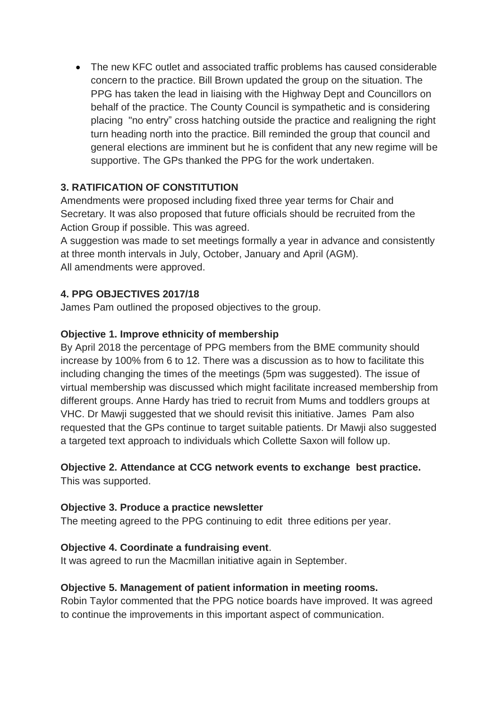• The new KFC outlet and associated traffic problems has caused considerable concern to the practice. Bill Brown updated the group on the situation. The PPG has taken the lead in liaising with the Highway Dept and Councillors on behalf of the practice. The County Council is sympathetic and is considering placing "no entry" cross hatching outside the practice and realigning the right turn heading north into the practice. Bill reminded the group that council and general elections are imminent but he is confident that any new regime will be supportive. The GPs thanked the PPG for the work undertaken.

# **3. RATIFICATION OF CONSTITUTION**

Amendments were proposed including fixed three year terms for Chair and Secretary. It was also proposed that future officials should be recruited from the Action Group if possible. This was agreed.

A suggestion was made to set meetings formally a year in advance and consistently at three month intervals in July, October, January and April (AGM). All amendments were approved.

## **4. PPG OBJECTIVES 2017/18**

James Pam outlined the proposed objectives to the group.

## **Objective 1. Improve ethnicity of membership**

By April 2018 the percentage of PPG members from the BME community should increase by 100% from 6 to 12. There was a discussion as to how to facilitate this including changing the times of the meetings (5pm was suggested). The issue of virtual membership was discussed which might facilitate increased membership from different groups. Anne Hardy has tried to recruit from Mums and toddlers groups at VHC. Dr Mawji suggested that we should revisit this initiative. James Pam also requested that the GPs continue to target suitable patients. Dr Mawji also suggested a targeted text approach to individuals which Collette Saxon will follow up.

# **Objective 2. Attendance at CCG network events to exchange best practice.**

This was supported.

### **Objective 3. Produce a practice newsletter**

The meeting agreed to the PPG continuing to edit three editions per year.

### **Objective 4. Coordinate a fundraising event**.

It was agreed to run the Macmillan initiative again in September.

# **Objective 5. Management of patient information in meeting rooms.**

Robin Taylor commented that the PPG notice boards have improved. It was agreed to continue the improvements in this important aspect of communication.